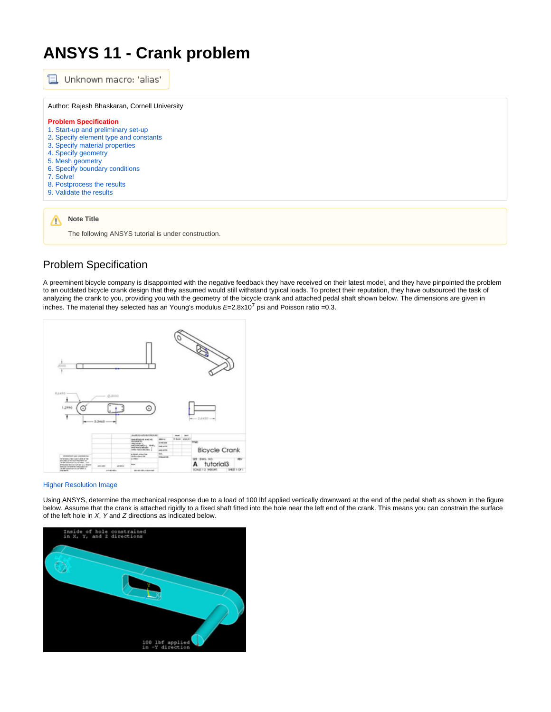## **ANSYS 11 - Crank problem**



The following ANSYS tutorial is under construction.

## Problem Specification

A preeminent bicycle company is disappointed with the negative feedback they have received on their latest model, and they have pinpointed the problem to an outdated bicycle crank design that they assumed would still withstand typical loads. To protect their reputation, they have outsourced the task of analyzing the crank to you, providing you with the geometry of the bicycle crank and attached pedal shaft shown below. The dimensions are given in inches. The material they selected has an Young's modulus  $E=2.8x10^7$  psi and Poisson ratio =0.3.



## [Higher Resolution Image](https://confluence.cornell.edu/download/attachments/82384572/crankDiagram.jpg?version=1)

Using ANSYS, determine the mechanical response due to a load of 100 lbf applied vertically downward at the end of the pedal shaft as shown in the figure below. Assume that the crank is attached rigidly to a fixed shaft fitted into the hole near the left end of the crank. This means you can constrain the surface of the left hole in  $X$ , Y and Z directions as indicated below.